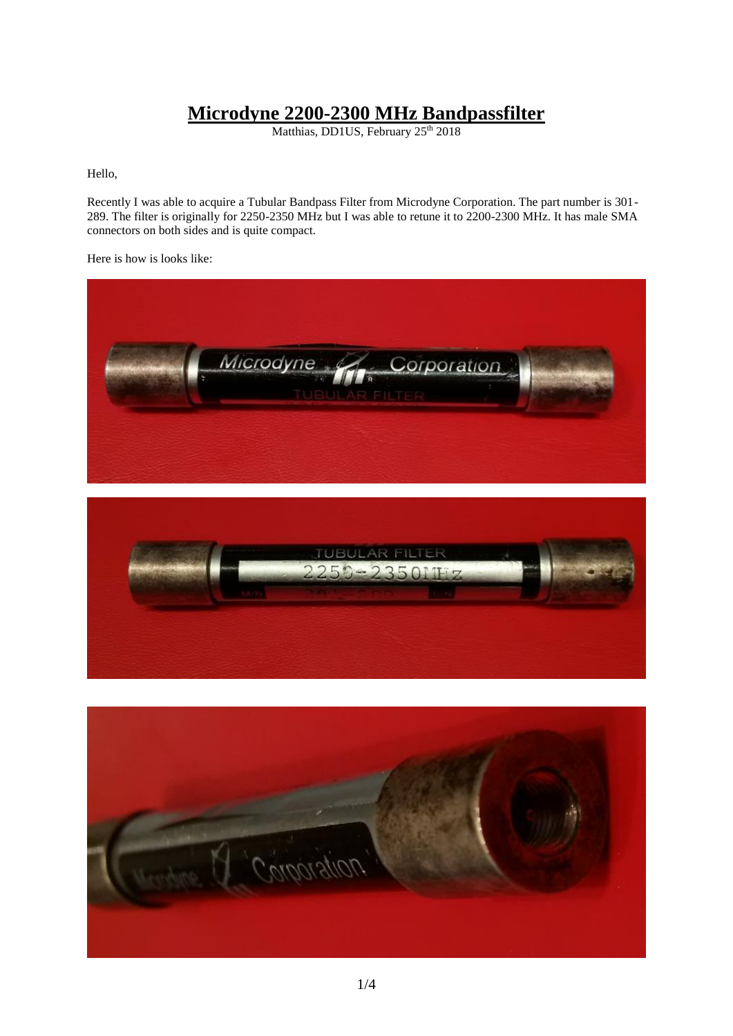## **Microdyne 2200-2300 MHz Bandpassfilter**

Matthias, DD1US, February 25<sup>th</sup> 2018

Hello,

Recently I was able to acquire a Tubular Bandpass Filter from Microdyne Corporation. The part number is 301- 289. The filter is originally for 2250-2350 MHz but I was able to retune it to 2200-2300 MHz. It has male SMA connectors on both sides and is quite compact.

Here is how is looks like:





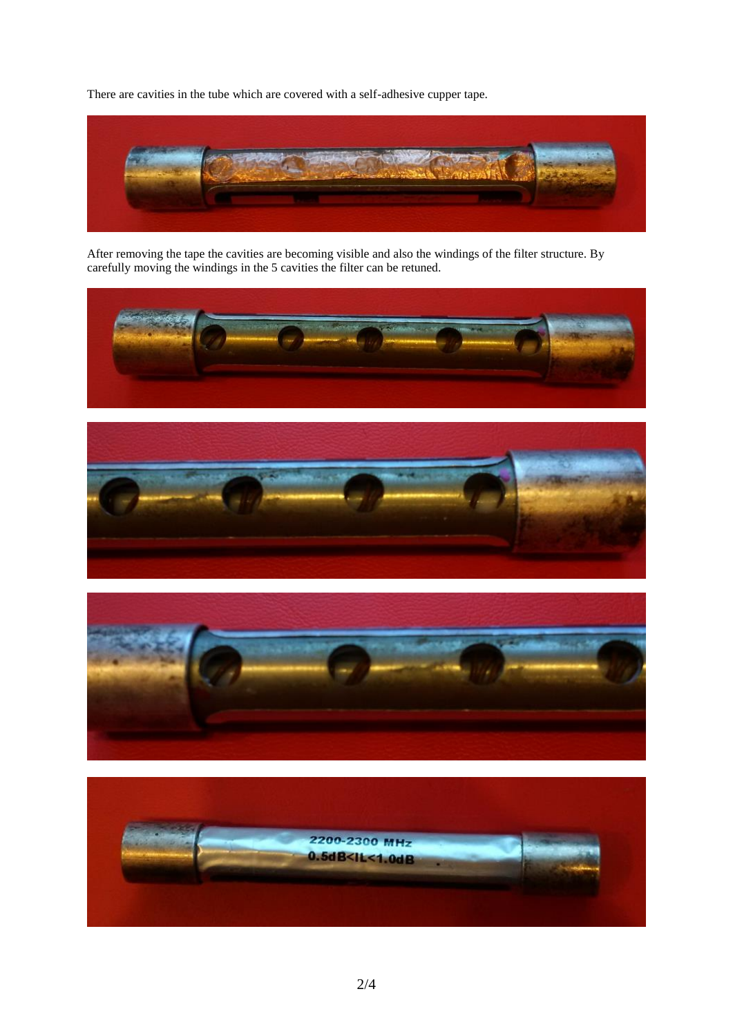There are cavities in the tube which are covered with a self-adhesive cupper tape.



After removing the tape the cavities are becoming visible and also the windings of the filter structure. By carefully moving the windings in the 5 cavities the filter can be retuned.







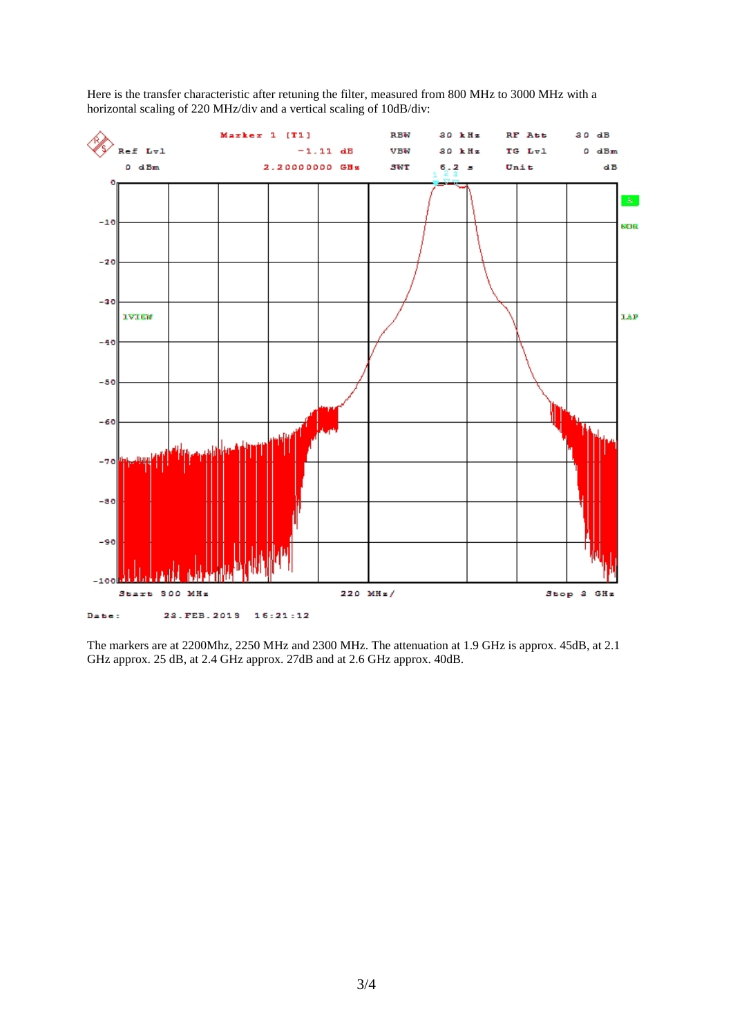

Here is the transfer characteristic after retuning the filter, measured from 800 MHz to 3000 MHz with a horizontal scaling of 220 MHz/div and a vertical scaling of 10dB/div:

The markers are at 2200Mhz, 2250 MHz and 2300 MHz. The attenuation at 1.9 GHz is approx. 45dB, at 2.1 GHz approx. 25 dB, at 2.4 GHz approx. 27dB and at 2.6 GHz approx. 40dB.